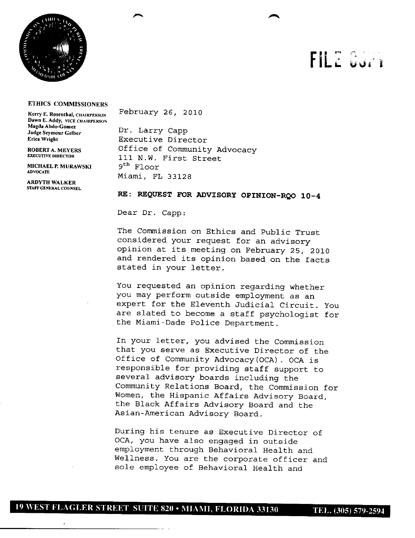

## FILE CU. I

## **ETHICS COMMISSIONERS**

**Dawn E. Addy, VICE CHAIRPERSON Magna Abdo-Gomez**<br> **Mage Seymour Gelber** Dr. Larry Capp<br> **Executive Dire** 

**MICHAEL P. MURAWSKI**<br>advocate

**ARDYTH WALKER STAFF GENERAL COUNSEL** 

Kerry **E. Rosenthal, CHAIRPERSON** February 26, 2010

Executive Director **ROBERTA. MEYERS** Office of Community Advocacy 111 N.W. First Street<br><sup>9th</sup> Floor **ADVOCATE** Miami, FL 33128

## RE: REQUEST FOR ADVISORY OPINION-RQO 10-4

Dear Dr. Capp:

The Commission on Ethics and Public Trust considered your request for an advisory opinion at its meeting on February 25, 2010 and rendered its opinion based on the facts stated in your letter.

You requested an opinion regarding whether you may perform outside employment as an expert for the Eleventh Judicial Circuit. You are slated to become a staff psychologist for the Miami-Dade Police Department.

In your letter, you advised the Commission that you serve as Executive Director of the Office of Community Advocacy (OCA). OCA is responsible for providing staff support to several advisory boards including the Community Relations Board, the Commission for Women, the Hispanic Affairs Advisory Board, the Black Affairs Advisory Board and the Asian-American Advisory Board.

During his tenure as Executive Director of OCA, you have also engaged in outside employment through Behavioral Health and Wellness. You are the corporate officer and sole employee of Behavioral Health and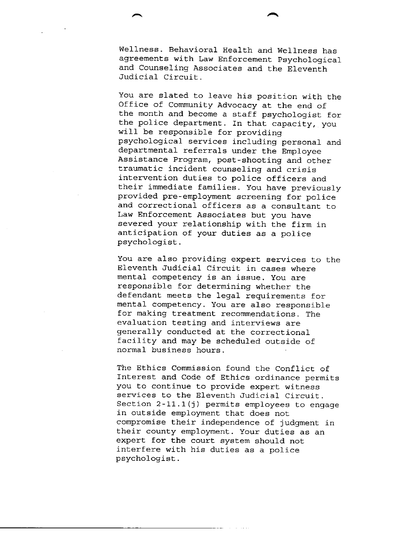Weliness. Behavioral Health and Wellness has agreements with Law Enforcement Psychological and Counseling Associates and the Eleventh Judicial Circuit.

You are slated to leave his position with the Office of Community Advocacy at the end of the month and become a staff psychologist for the police department. In that capacity, you will be responsible for providing psychological services including personal and departmental referrals under the Employee Assistance Program, post-shooting and other traumatic incident counseling and crisis intervention duties to police officers and their immediate families. You have previously provided pre-employment screening for police and correctional officers as a consultant to Law Enforcement Associates but you have severed your relationship with the firm in anticipation of your duties as a police psychologist.

You are also providing expert services to the Eleventh Judicial Circuit in cases where mental competency is an issue. You are responsible for determining whether the defendant meets the legal requirements for mental competency. You are also responsible for making treatment recommendations. The evaluation testing and interviews are generally conducted at the correctional facility and may be scheduled outside of normal business hours.

The Ethics Commission found the Conflict of Interest and Code of Ethics ordinance permits you to continue to provide expert witness services to the Eleventh Judicial Circuit. Section  $2-11.1(j)$  permits employees to engage in outside employment that does not compromise their independence of judgment in their county employment. Your duties as an expert for the court system should not interfere with his duties as a police psychologist.